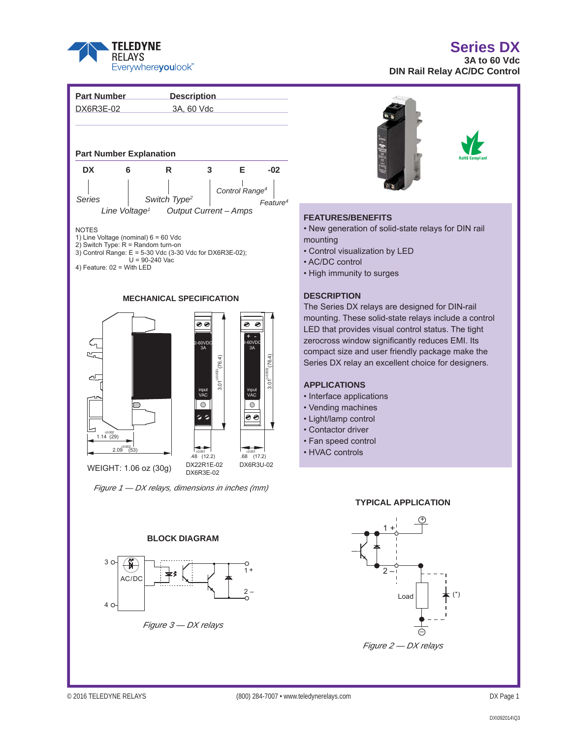

# **Series DX**

**3A to 60 Vdc DIN Rail Relay AC/DC Control** 





### **FEATURES/BENEFITS**

• New generation of solid-state relays for DIN rail mounting

- Control visualization by LED
- AC/DC control
- High immunity to surges

# **DESCRIPTION**

The Series DX relays are designed for DIN-rail mounting. These solid-state relays include a control LED that provides visual control status. The tight zerocross window significantly reduces EMI. Its compact size and user friendly package make the Series DX relay an excellent choice for designers.

# **APPLICATIONS**

- Interface applications
- Vending machines
- Light/lamp control
- Contactor driver
- Fan speed control
- HVAC controls

#### **TYPICAL APPLICATION**



# 3 O  $\rightarrow$ 1 + AC/DC 2 – 4

# *Figure 3 — DX relays*